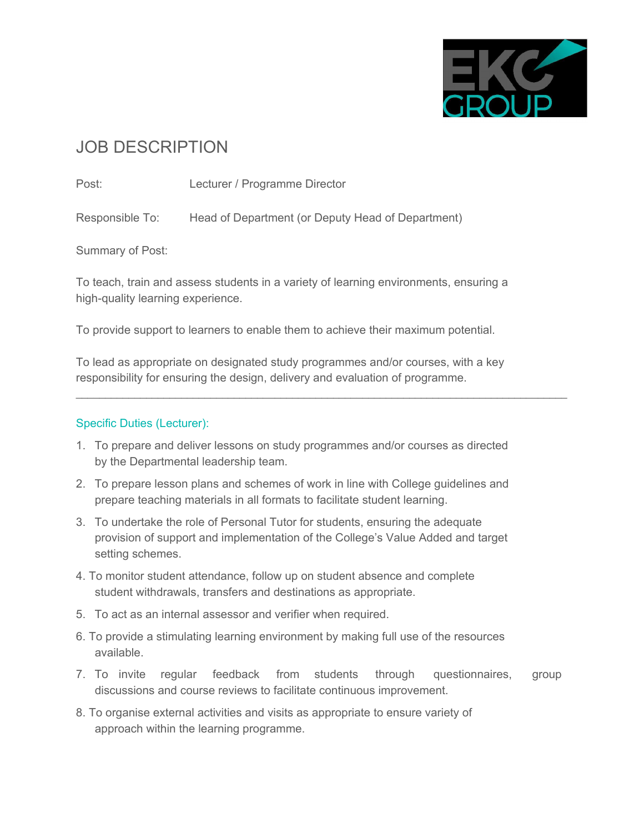

# JOB DESCRIPTION

Post: Lecturer / Programme Director

Responsible To: Head of Department (or Deputy Head of Department)

Summary of Post:

To teach, train and assess students in a variety of learning environments, ensuring a high-quality learning experience.

To provide support to learners to enable them to achieve their maximum potential.

To lead as appropriate on designated study programmes and/or courses, with a key responsibility for ensuring the design, delivery and evaluation of programme.

 $\mathcal{L}_\mathcal{L} = \{ \mathcal{L}_\mathcal{L} = \{ \mathcal{L}_\mathcal{L} = \{ \mathcal{L}_\mathcal{L} = \{ \mathcal{L}_\mathcal{L} = \{ \mathcal{L}_\mathcal{L} = \{ \mathcal{L}_\mathcal{L} = \{ \mathcal{L}_\mathcal{L} = \{ \mathcal{L}_\mathcal{L} = \{ \mathcal{L}_\mathcal{L} = \{ \mathcal{L}_\mathcal{L} = \{ \mathcal{L}_\mathcal{L} = \{ \mathcal{L}_\mathcal{L} = \{ \mathcal{L}_\mathcal{L} = \{ \mathcal{L}_\mathcal{$ 

## Specific Duties (Lecturer):

- 1. To prepare and deliver lessons on study programmes and/or courses as directed by the Departmental leadership team.
- 2. To prepare lesson plans and schemes of work in line with College guidelines and prepare teaching materials in all formats to facilitate student learning.
- 3. To undertake the role of Personal Tutor for students, ensuring the adequate provision of support and implementation of the College's Value Added and target setting schemes.
- 4. To monitor student attendance, follow up on student absence and complete student withdrawals, transfers and destinations as appropriate.
- 5. To act as an internal assessor and verifier when required.
- 6. To provide a stimulating learning environment by making full use of the resources available.
- 7. To invite regular feedback from students through questionnaires, group discussions and course reviews to facilitate continuous improvement.
- 8. To organise external activities and visits as appropriate to ensure variety of approach within the learning programme.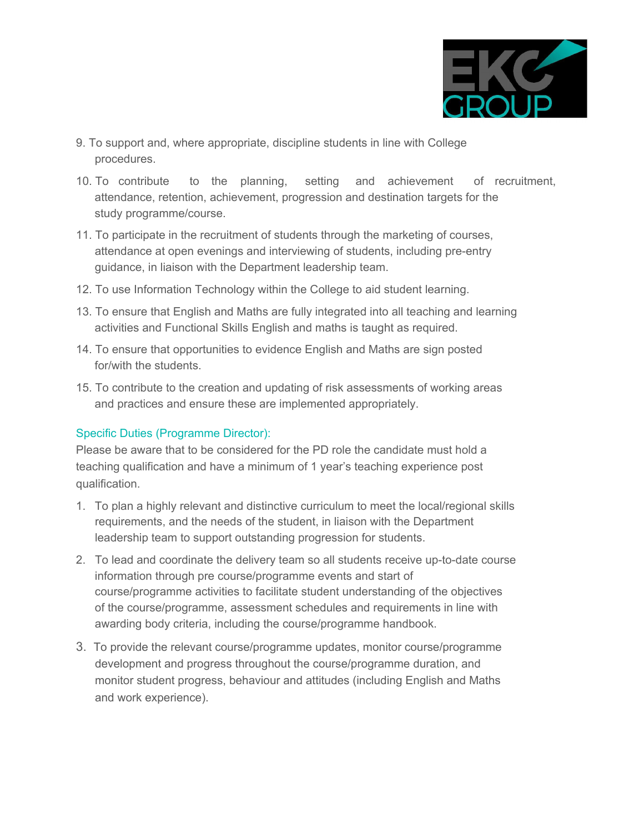

- 9. To support and, where appropriate, discipline students in line with College procedures.
- 10. To contribute to the planning, setting and achievement of recruitment, attendance, retention, achievement, progression and destination targets for the study programme/course.
- 11. To participate in the recruitment of students through the marketing of courses, attendance at open evenings and interviewing of students, including pre-entry guidance, in liaison with the Department leadership team.
- 12. To use Information Technology within the College to aid student learning.
- 13. To ensure that English and Maths are fully integrated into all teaching and learning activities and Functional Skills English and maths is taught as required.
- 14. To ensure that opportunities to evidence English and Maths are sign posted for/with the students.
- 15. To contribute to the creation and updating of risk assessments of working areas and practices and ensure these are implemented appropriately.

## Specific Duties (Programme Director):

Please be aware that to be considered for the PD role the candidate must hold a teaching qualification and have a minimum of 1 year's teaching experience post qualification.

- 1. To plan a highly relevant and distinctive curriculum to meet the local/regional skills requirements, and the needs of the student, in liaison with the Department leadership team to support outstanding progression for students.
- 2. To lead and coordinate the delivery team so all students receive up-to-date course information through pre course/programme events and start of course/programme activities to facilitate student understanding of the objectives of the course/programme, assessment schedules and requirements in line with awarding body criteria, including the course/programme handbook.
- 3. To provide the relevant course/programme updates, monitor course/programme development and progress throughout the course/programme duration, and monitor student progress, behaviour and attitudes (including English and Maths and work experience).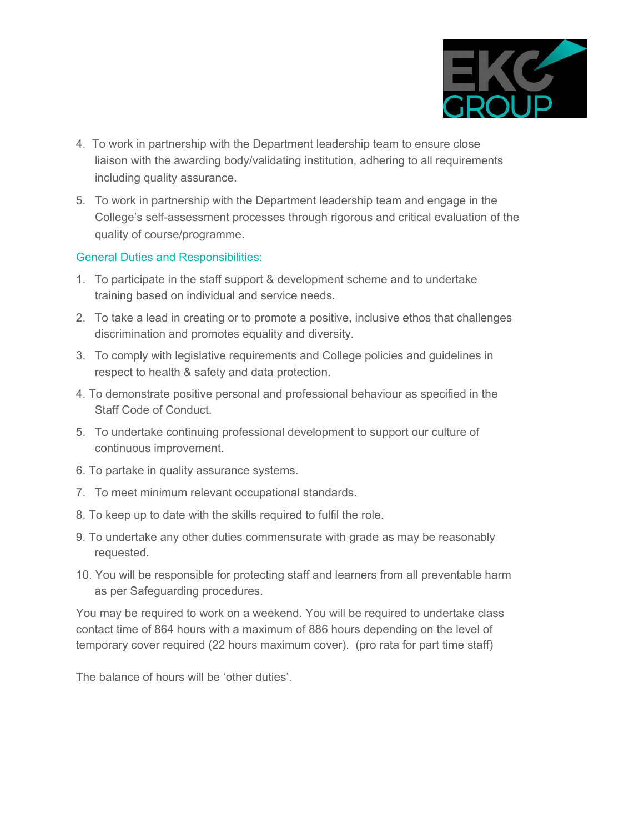

- 4. To work in partnership with the Department leadership team to ensure close liaison with the awarding body/validating institution, adhering to all requirements including quality assurance.
- 5. To work in partnership with the Department leadership team and engage in the College's self-assessment processes through rigorous and critical evaluation of the quality of course/programme.

### General Duties and Responsibilities:

- 1. To participate in the staff support & development scheme and to undertake training based on individual and service needs.
- 2. To take a lead in creating or to promote a positive, inclusive ethos that challenges discrimination and promotes equality and diversity.
- 3. To comply with legislative requirements and College policies and guidelines in respect to health & safety and data protection.
- 4. To demonstrate positive personal and professional behaviour as specified in the Staff Code of Conduct.
- 5. To undertake continuing professional development to support our culture of continuous improvement.
- 6. To partake in quality assurance systems.
- 7. To meet minimum relevant occupational standards.
- 8. To keep up to date with the skills required to fulfil the role.
- 9. To undertake any other duties commensurate with grade as may be reasonably requested.
- 10. You will be responsible for protecting staff and learners from all preventable harm as per Safeguarding procedures.

You may be required to work on a weekend. You will be required to undertake class contact time of 864 hours with a maximum of 886 hours depending on the level of temporary cover required (22 hours maximum cover). (pro rata for part time staff)

The balance of hours will be 'other duties'.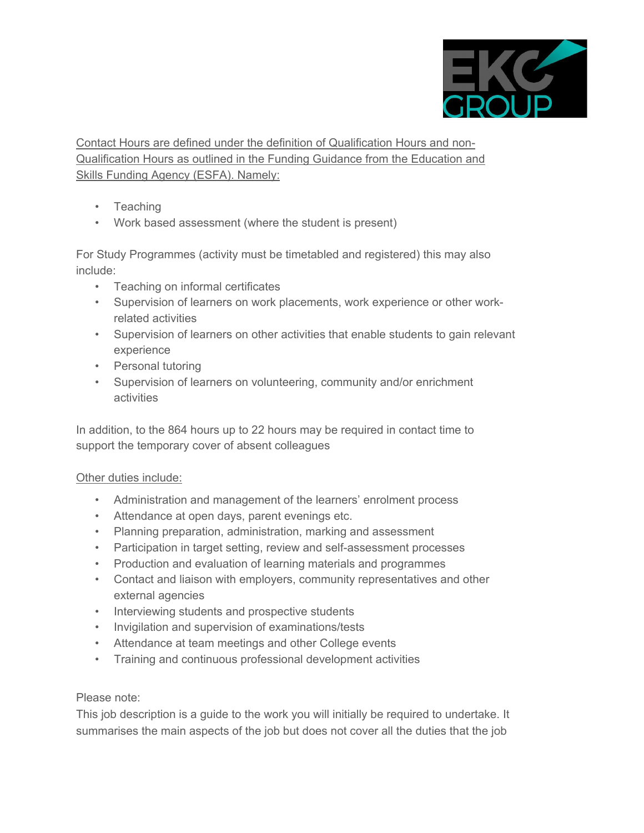

Contact Hours are defined under the definition of Qualification Hours and non-Qualification Hours as outlined in the Funding Guidance from the Education and Skills Funding Agency (ESFA). Namely:

- Teaching
- Work based assessment (where the student is present)

For Study Programmes (activity must be timetabled and registered) this may also include:

- Teaching on informal certificates
- Supervision of learners on work placements, work experience or other workrelated activities
- Supervision of learners on other activities that enable students to gain relevant experience
- Personal tutoring
- Supervision of learners on volunteering, community and/or enrichment activities

In addition, to the 864 hours up to 22 hours may be required in contact time to support the temporary cover of absent colleagues

## Other duties include:

- Administration and management of the learners' enrolment process
- Attendance at open days, parent evenings etc.
- Planning preparation, administration, marking and assessment
- Participation in target setting, review and self-assessment processes
- Production and evaluation of learning materials and programmes
- Contact and liaison with employers, community representatives and other external agencies
- Interviewing students and prospective students
- Invigilation and supervision of examinations/tests
- Attendance at team meetings and other College events
- Training and continuous professional development activities

#### Please note:

This job description is a guide to the work you will initially be required to undertake. It summarises the main aspects of the job but does not cover all the duties that the job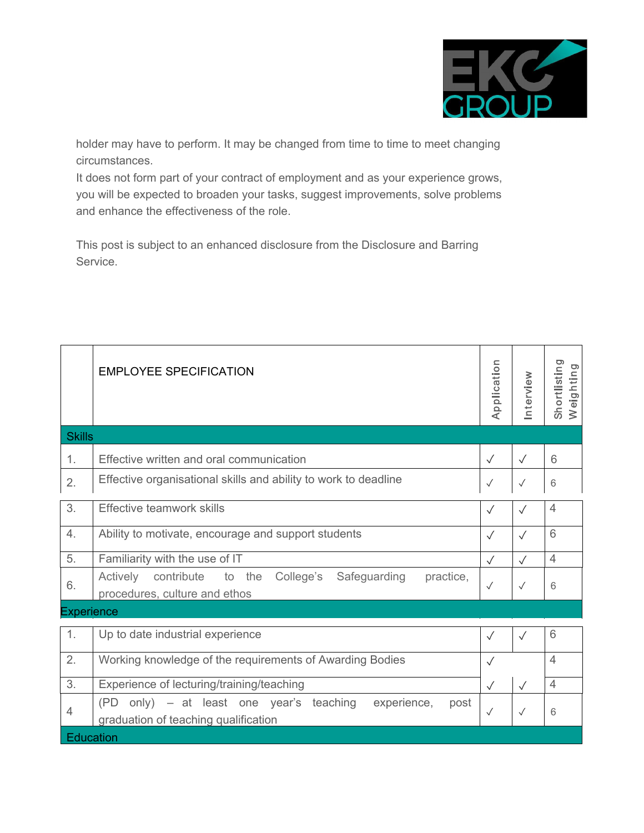

holder may have to perform. It may be changed from time to time to meet changing circumstances.

It does not form part of your contract of employment and as your experience grows, you will be expected to broaden your tasks, suggest improvements, solve problems and enhance the effectiveness of the role.

This post is subject to an enhanced disclosure from the Disclosure and Barring Service.

|                   | <b>EMPLOYEE SPECIFICATION</b>                                                                               | Application  | Interview    | Shortlisting<br>Weighting |  |  |
|-------------------|-------------------------------------------------------------------------------------------------------------|--------------|--------------|---------------------------|--|--|
| <b>Skills</b>     |                                                                                                             |              |              |                           |  |  |
| 1.                | Effective written and oral communication                                                                    | $\checkmark$ | $\checkmark$ | 6                         |  |  |
| 2.                | Effective organisational skills and ability to work to deadline                                             | $\checkmark$ | $\checkmark$ | $6\,$                     |  |  |
| 3.                | Effective teamwork skills                                                                                   | $\checkmark$ | $\checkmark$ | $\overline{4}$            |  |  |
| 4.                | Ability to motivate, encourage and support students                                                         | $\checkmark$ | $\sqrt{}$    | 6                         |  |  |
| 5.                | Familiarity with the use of IT                                                                              | $\checkmark$ | $\checkmark$ | $\overline{4}$            |  |  |
| 6.                | Actively<br>contribute<br>to the<br>College's<br>Safeguarding<br>practice,<br>procedures, culture and ethos | $\checkmark$ | $\checkmark$ | 6                         |  |  |
| <b>Experience</b> |                                                                                                             |              |              |                           |  |  |
| 1.                | Up to date industrial experience                                                                            | $\sqrt{}$    | $\sqrt{}$    | 6                         |  |  |
| 2.                | Working knowledge of the requirements of Awarding Bodies                                                    | $\checkmark$ |              | $\overline{4}$            |  |  |
| 3.                | Experience of lecturing/training/teaching                                                                   | $\checkmark$ | $\sqrt{}$    | $\overline{4}$            |  |  |
| $\overline{4}$    | only) – at least one year's teaching<br>experience,<br>(PD)<br>post<br>graduation of teaching qualification | $\checkmark$ | $\checkmark$ | 6                         |  |  |
| Education         |                                                                                                             |              |              |                           |  |  |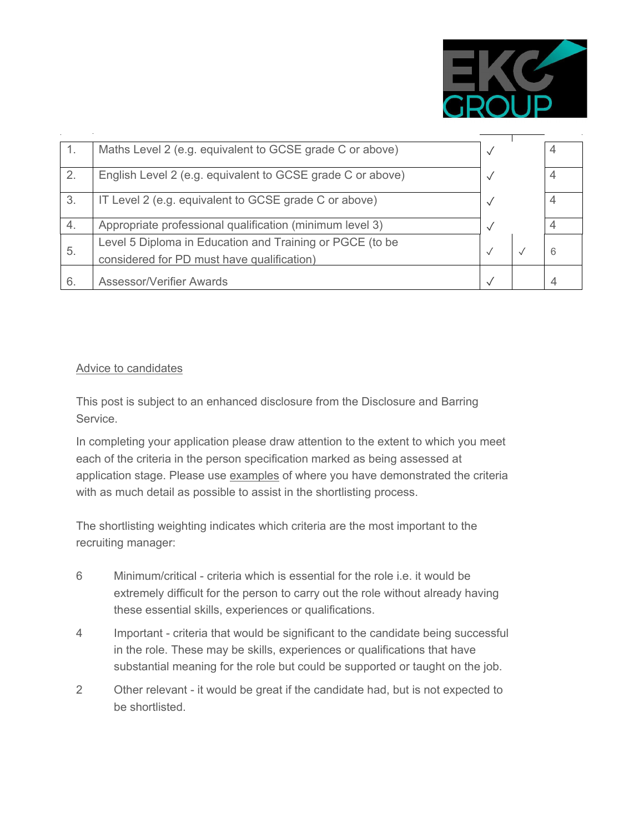

| -1. | Maths Level 2 (e.g. equivalent to GCSE grade C or above)                                               |              | 4              |
|-----|--------------------------------------------------------------------------------------------------------|--------------|----------------|
| 2.  | English Level 2 (e.g. equivalent to GCSE grade C or above)                                             |              | $\overline{4}$ |
| 3.  | IT Level 2 (e.g. equivalent to GCSE grade C or above)                                                  |              | $\overline{4}$ |
| 4.  | Appropriate professional qualification (minimum level 3)                                               | $\checkmark$ | $\overline{4}$ |
| 5.  | Level 5 Diploma in Education and Training or PGCE (to be<br>considered for PD must have qualification) | $\checkmark$ | 6              |
| 6.  | <b>Assessor/Verifier Awards</b>                                                                        |              | $\overline{A}$ |

### Advice to candidates

This post is subject to an enhanced disclosure from the Disclosure and Barring Service.

In completing your application please draw attention to the extent to which you meet each of the criteria in the person specification marked as being assessed at application stage. Please use examples of where you have demonstrated the criteria with as much detail as possible to assist in the shortlisting process.

The shortlisting weighting indicates which criteria are the most important to the recruiting manager:

- 6 Minimum/critical criteria which is essential for the role i.e. it would be extremely difficult for the person to carry out the role without already having these essential skills, experiences or qualifications.
- 4 Important criteria that would be significant to the candidate being successful in the role. These may be skills, experiences or qualifications that have substantial meaning for the role but could be supported or taught on the job.
- 2 Other relevant it would be great if the candidate had, but is not expected to be shortlisted.